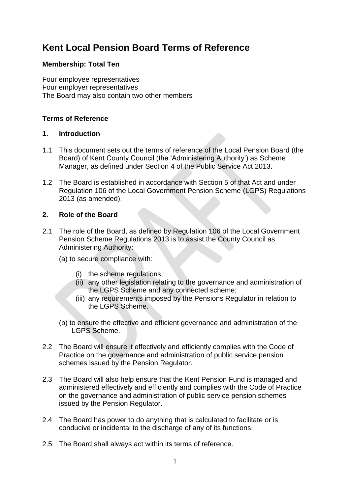# **Kent Local Pension Board Terms of Reference**

### **Membership: Total Ten**

Four employee representatives Four employer representatives The Board may also contain two other members

## **Terms of Reference**

#### **1. Introduction**

- 1.1 This document sets out the terms of reference of the Local Pension Board (the Board) of Kent County Council (the 'Administering Authority') as Scheme Manager, as defined under Section 4 of the Public Service Act 2013.
- 1.2 The Board is established in accordance with Section 5 of that Act and under Regulation 106 of the Local Government Pension Scheme (LGPS) Regulations 2013 (as amended).

## **2. Role of the Board**

- 2.1 The role of the Board, as defined by Regulation 106 of the Local Government Pension Scheme Regulations 2013 is to assist the County Council as Administering Authority:
	- (a) to secure compliance with:
		- (i) the scheme regulations;
		- (ii) any other legislation relating to the governance and administration of the LGPS Scheme and any connected scheme;
		- (iii) any requirements imposed by the Pensions Regulator in relation to the LGPS Scheme.
	- (b) to ensure the effective and efficient governance and administration of the LGPS Scheme.
- 2.2 The Board will ensure it effectively and efficiently complies with the Code of Practice on the governance and administration of public service pension schemes issued by the Pension Regulator.
- 2.3 The Board will also help ensure that the Kent Pension Fund is managed and administered effectively and efficiently and complies with the Code of Practice on the governance and administration of public service pension schemes issued by the Pension Regulator.
- 2.4 The Board has power to do anything that is calculated to facilitate or is conducive or incidental to the discharge of any of its functions.
- 2.5 The Board shall always act within its terms of reference.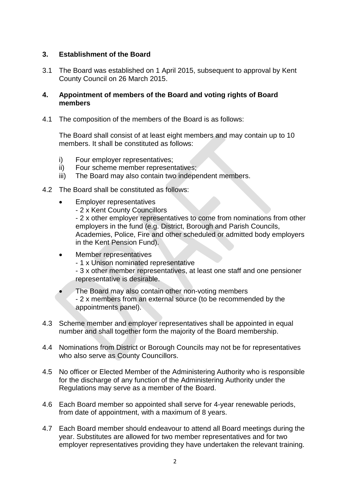#### **3. Establishment of the Board**

3.1 The Board was established on 1 April 2015, subsequent to approval by Kent County Council on 26 March 2015.

#### **4. Appointment of members of the Board and voting rights of Board members**

4.1 The composition of the members of the Board is as follows:

The Board shall consist of at least eight members and may contain up to 10 members. It shall be constituted as follows:

- i) Four employer representatives;
- ii) Four scheme member representatives;
- iii) The Board may also contain two independent members.
- 4.2 The Board shall be constituted as follows:
	- Employer representatives
		- 2 x Kent County Councillors

- 2 x other employer representatives to come from nominations from other employers in the fund (e.g. District, Borough and Parish Councils, Academies, Police, Fire and other scheduled or admitted body employers in the Kent Pension Fund).

- Member representatives
	- 1 x Unison nominated representative

- 3 x other member representatives, at least one staff and one pensioner representative is desirable.

- The Board may also contain other non-voting members - 2 x members from an external source (to be recommended by the appointments panel).
- 4.3 Scheme member and employer representatives shall be appointed in equal number and shall together form the majority of the Board membership.
- 4.4 Nominations from District or Borough Councils may not be for representatives who also serve as County Councillors.
- 4.5 No officer or Elected Member of the Administering Authority who is responsible for the discharge of any function of the Administering Authority under the Regulations may serve as a member of the Board.
- 4.6 Each Board member so appointed shall serve for 4-year renewable periods, from date of appointment, with a maximum of 8 years.
- 4.7 Each Board member should endeavour to attend all Board meetings during the year. Substitutes are allowed for two member representatives and for two employer representatives providing they have undertaken the relevant training.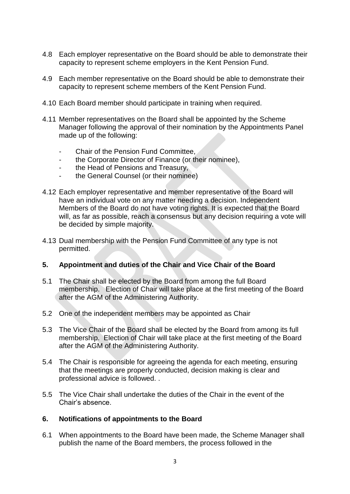- 4.8 Each employer representative on the Board should be able to demonstrate their capacity to represent scheme employers in the Kent Pension Fund.
- 4.9 Each member representative on the Board should be able to demonstrate their capacity to represent scheme members of the Kent Pension Fund.
- 4.10 Each Board member should participate in training when required.
- 4.11 Member representatives on the Board shall be appointed by the Scheme Manager following the approval of their nomination by the Appointments Panel made up of the following:
	- Chair of the Pension Fund Committee.
	- the Corporate Director of Finance (or their nominee),
	- the Head of Pensions and Treasury,
	- the General Counsel (or their nominee)
- 4.12 Each employer representative and member representative of the Board will have an individual vote on any matter needing a decision. Independent Members of the Board do not have voting rights. It is expected that the Board will, as far as possible, reach a consensus but any decision requiring a vote will be decided by simple majority.
- 4.13 Dual membership with the Pension Fund Committee of any type is not permitted.

#### **5. Appointment and duties of the Chair and Vice Chair of the Board**

- 5.1 The Chair shall be elected by the Board from among the full Board membership. Election of Chair will take place at the first meeting of the Board after the AGM of the Administering Authority.
- 5.2 One of the independent members may be appointed as Chair
- 5.3 The Vice Chair of the Board shall be elected by the Board from among its full membership. Election of Chair will take place at the first meeting of the Board after the AGM of the Administering Authority.
- 5.4 The Chair is responsible for agreeing the agenda for each meeting, ensuring that the meetings are properly conducted, decision making is clear and professional advice is followed. .
- 5.5 The Vice Chair shall undertake the duties of the Chair in the event of the Chair's absence.

#### **6. Notifications of appointments to the Board**

6.1 When appointments to the Board have been made, the Scheme Manager shall publish the name of the Board members, the process followed in the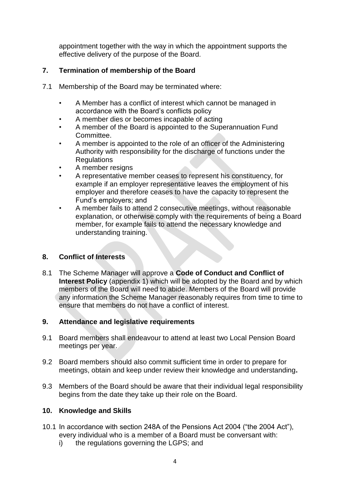appointment together with the way in which the appointment supports the effective delivery of the purpose of the Board.

## **7. Termination of membership of the Board**

- 7.1 Membership of the Board may be terminated where:
	- A Member has a conflict of interest which cannot be managed in accordance with the Board's conflicts policy
	- A member dies or becomes incapable of acting
	- A member of the Board is appointed to the Superannuation Fund Committee.
	- A member is appointed to the role of an officer of the Administering Authority with responsibility for the discharge of functions under the Regulations
	- A member resigns
	- A representative member ceases to represent his constituency, for example if an employer representative leaves the employment of his employer and therefore ceases to have the capacity to represent the Fund's employers; and
	- A member fails to attend 2 consecutive meetings, without reasonable explanation, or otherwise comply with the requirements of being a Board member, for example fails to attend the necessary knowledge and understanding training.

## **8. Conflict of Interests**

8.1 The Scheme Manager will approve a **Code of Conduct and Conflict of Interest Policy** (appendix 1) which will be adopted by the Board and by which members of the Board will need to abide. Members of the Board will provide any information the Scheme Manager reasonably requires from time to time to ensure that members do not have a conflict of interest.

## **9. Attendance and legislative requirements**

- 9.1 Board members shall endeavour to attend at least two Local Pension Board meetings per year.
- 9.2 Board members should also commit sufficient time in order to prepare for meetings, obtain and keep under review their knowledge and understanding**.**
- 9.3 Members of the Board should be aware that their individual legal responsibility begins from the date they take up their role on the Board.

## **10. Knowledge and Skills**

- 10.1 In accordance with section 248A of the Pensions Act 2004 ("the 2004 Act"), every individual who is a member of a Board must be conversant with:
	- i) the regulations governing the LGPS; and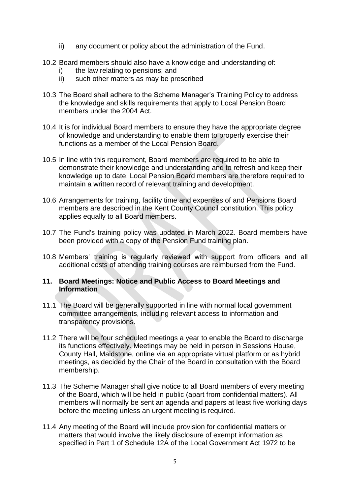- ii) any document or policy about the administration of the Fund.
- 10.2 Board members should also have a knowledge and understanding of:
	- i) the law relating to pensions; and
	- ii) such other matters as may be prescribed
- 10.3 The Board shall adhere to the Scheme Manager's Training Policy to address the knowledge and skills requirements that apply to Local Pension Board members under the 2004 Act.
- 10.4 It is for individual Board members to ensure they have the appropriate degree of knowledge and understanding to enable them to properly exercise their functions as a member of the Local Pension Board.
- 10.5 In line with this requirement, Board members are required to be able to demonstrate their knowledge and understanding and to refresh and keep their knowledge up to date. Local Pension Board members are therefore required to maintain a written record of relevant training and development.
- 10.6 Arrangements for training, facility time and expenses of and Pensions Board members are described in the Kent County Council constitution. This policy applies equally to all Board members.
- 10.7 The Fund's training policy was updated in March 2022. Board members have been provided with a copy of the Pension Fund training plan.
- 10.8 Members' training is regularly reviewed with support from officers and all additional costs of attending training courses are reimbursed from the Fund.

#### **11. Board Meetings: Notice and Public Access to Board Meetings and Information**

- 11.1 The Board will be generally supported in line with normal local government committee arrangements, including relevant access to information and transparency provisions.
- 11.2 There will be four scheduled meetings a year to enable the Board to discharge its functions effectively. Meetings may be held in person in Sessions House, County Hall, Maidstone, online via an appropriate virtual platform or as hybrid meetings, as decided by the Chair of the Board in consultation with the Board membership.
- 11.3 The Scheme Manager shall give notice to all Board members of every meeting of the Board, which will be held in public (apart from confidential matters). All members will normally be sent an agenda and papers at least five working days before the meeting unless an urgent meeting is required.
- 11.4 Any meeting of the Board will include provision for confidential matters or matters that would involve the likely disclosure of exempt information as specified in Part 1 of Schedule 12A of the Local Government Act 1972 to be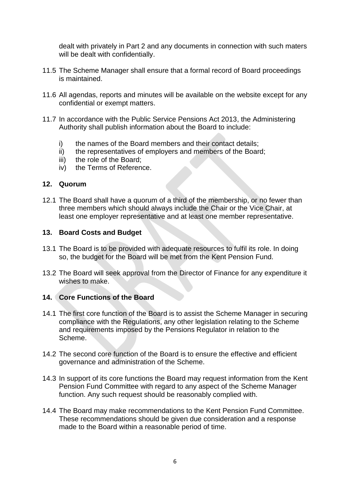dealt with privately in Part 2 and any documents in connection with such maters will be dealt with confidentially.

- 11.5 The Scheme Manager shall ensure that a formal record of Board proceedings is maintained.
- 11.6 All agendas, reports and minutes will be available on the website except for any confidential or exempt matters.
- 11.7 In accordance with the Public Service Pensions Act 2013, the Administering Authority shall publish information about the Board to include:
	- i) the names of the Board members and their contact details;
	- ii) the representatives of employers and members of the Board;
	- iii) the role of the Board;
	- iv) the Terms of Reference.

#### **12. Quorum**

12.1 The Board shall have a quorum of a third of the membership, or no fewer than three members which should always include the Chair or the Vice Chair, at least one employer representative and at least one member representative.

#### **13. Board Costs and Budget**

- 13.1 The Board is to be provided with adequate resources to fulfil its role. In doing so, the budget for the Board will be met from the Kent Pension Fund.
- 13.2 The Board will seek approval from the Director of Finance for any expenditure it wishes to make.

#### **14. Core Functions of the Board**

- 14.1 The first core function of the Board is to assist the Scheme Manager in securing compliance with the Regulations, any other legislation relating to the Scheme and requirements imposed by the Pensions Regulator in relation to the Scheme.
- 14.2 The second core function of the Board is to ensure the effective and efficient governance and administration of the Scheme.
- 14.3 In support of its core functions the Board may request information from the Kent Pension Fund Committee with regard to any aspect of the Scheme Manager function. Any such request should be reasonably complied with.
- 14.4 The Board may make recommendations to the Kent Pension Fund Committee. These recommendations should be given due consideration and a response made to the Board within a reasonable period of time.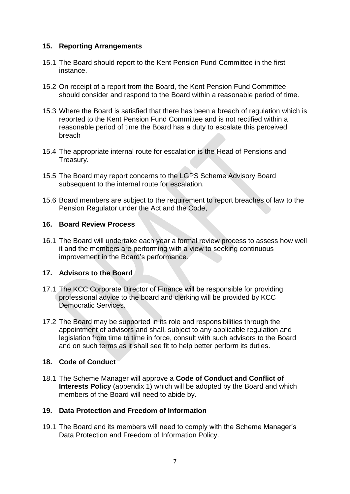#### **15. Reporting Arrangements**

- 15.1 The Board should report to the Kent Pension Fund Committee in the first instance.
- 15.2 On receipt of a report from the Board, the Kent Pension Fund Committee should consider and respond to the Board within a reasonable period of time.
- 15.3 Where the Board is satisfied that there has been a breach of regulation which is reported to the Kent Pension Fund Committee and is not rectified within a reasonable period of time the Board has a duty to escalate this perceived breach
- 15.4 The appropriate internal route for escalation is the Head of Pensions and Treasury.
- 15.5 The Board may report concerns to the LGPS Scheme Advisory Board subsequent to the internal route for escalation.
- 15.6 Board members are subject to the requirement to report breaches of law to the Pension Regulator under the Act and the Code,

#### **16. Board Review Process**

16.1 The Board will undertake each year a formal review process to assess how well it and the members are performing with a view to seeking continuous improvement in the Board's performance.

#### **17. Advisors to the Board**

- 17.1 The KCC Corporate Director of Finance will be responsible for providing professional advice to the board and clerking will be provided by KCC Democratic Services.
- 17.2 The Board may be supported in its role and responsibilities through the appointment of advisors and shall, subject to any applicable regulation and legislation from time to time in force, consult with such advisors to the Board and on such terms as it shall see fit to help better perform its duties.

### **18. Code of Conduct**

18.1 The Scheme Manager will approve a **Code of Conduct and Conflict of Interests Policy** (appendix 1) which will be adopted by the Board and which members of the Board will need to abide by.

## **19. Data Protection and Freedom of Information**

19.1 The Board and its members will need to comply with the Scheme Manager's Data Protection and Freedom of Information Policy.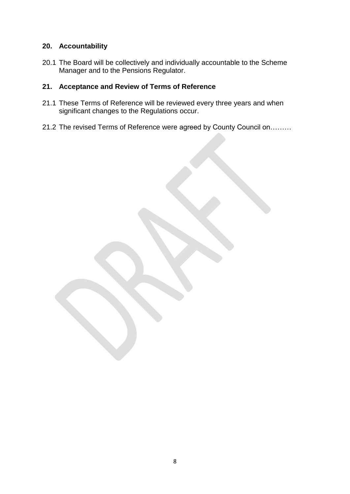#### **20. Accountability**

20.1 The Board will be collectively and individually accountable to the Scheme Manager and to the Pensions Regulator.

### **21. Acceptance and Review of Terms of Reference**

- 21.1 These Terms of Reference will be reviewed every three years and when significant changes to the Regulations occur.
- 21.2 The revised Terms of Reference were agreed by County Council on………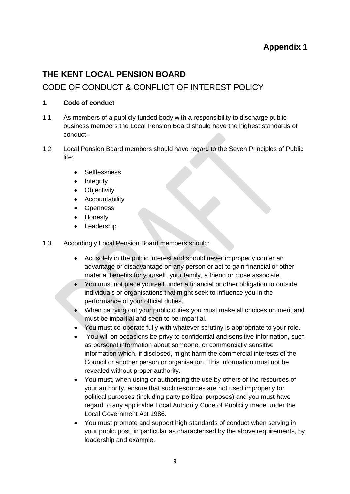## **Appendix 1**

## **THE KENT LOCAL PENSION BOARD**

## CODE OF CONDUCT & CONFLICT OF INTEREST POLICY

#### **1. Code of conduct**

- 1.1 As members of a publicly funded body with a responsibility to discharge public business members the Local Pension Board should have the highest standards of conduct.
- 1.2 Local Pension Board members should have regard to the Seven Principles of Public life:
	- **Selflessness**
	- Integrity
	- **Objectivity**
	- Accountability
	- Openness
	- Honesty
	- Leadership
- 1.3 Accordingly Local Pension Board members should:
	- Act solely in the public interest and should never improperly confer an advantage or disadvantage on any person or act to gain financial or other material benefits for yourself, your family, a friend or close associate.
	- You must not place yourself under a financial or other obligation to outside individuals or organisations that might seek to influence you in the performance of your official duties.
	- When carrying out your public duties you must make all choices on merit and must be impartial and seen to be impartial.
	- You must co-operate fully with whatever scrutiny is appropriate to your role.
	- You will on occasions be privy to confidential and sensitive information, such as personal information about someone, or commercially sensitive information which, if disclosed, might harm the commercial interests of the Council or another person or organisation. This information must not be revealed without proper authority.
	- You must, when using or authorising the use by others of the resources of your authority, ensure that such resources are not used improperly for political purposes (including party political purposes) and you must have regard to any applicable Local Authority Code of Publicity made under the Local Government Act 1986.
	- You must promote and support high standards of conduct when serving in your public post, in particular as characterised by the above requirements, by leadership and example.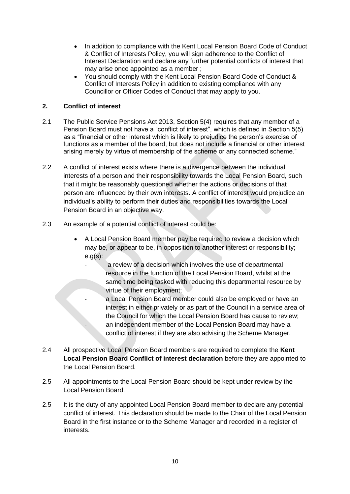- In addition to compliance with the Kent Local Pension Board Code of Conduct & Conflict of Interests Policy, you will sign adherence to the Conflict of Interest Declaration and declare any further potential conflicts of interest that may arise once appointed as a member ;
- You should comply with the Kent Local Pension Board Code of Conduct & Conflict of Interests Policy in addition to existing compliance with any Councillor or Officer Codes of Conduct that may apply to you.

#### **2. Conflict of interest**

- 2.1 The Public Service Pensions Act 2013, Section 5(4) requires that any member of a Pension Board must not have a "conflict of interest", which is defined in Section 5(5) as a "financial or other interest which is likely to prejudice the person's exercise of functions as a member of the board, but does not include a financial or other interest arising merely by virtue of membership of the scheme or any connected scheme."
- 2.2 A conflict of interest exists where there is a divergence between the individual interests of a person and their responsibility towards the Local Pension Board, such that it might be reasonably questioned whether the actions or decisions of that person are influenced by their own interests. A conflict of interest would prejudice an individual's ability to perform their duties and responsibilities towards the Local Pension Board in an objective way.
- 2.3 An example of a potential conflict of interest could be:
	- A Local Pension Board member pay be required to review a decision which may be, or appear to be, in opposition to another interest or responsibility;  $e.g(s)$ :
		- a review of a decision which involves the use of departmental resource in the function of the Local Pension Board, whilst at the same time being tasked with reducing this departmental resource by virtue of their employment;
		- a Local Pension Board member could also be employed or have an interest in either privately or as part of the Council in a service area of the Council for which the Local Pension Board has cause to review; an independent member of the Local Pension Board may have a conflict of interest if they are also advising the Scheme Manager.
- 2.4 All prospective Local Pension Board members are required to complete the **Kent Local Pension Board Conflict of interest declaration** before they are appointed to the Local Pension Board.
- 2.5 All appointments to the Local Pension Board should be kept under review by the Local Pension Board.
- 2.5 It is the duty of any appointed Local Pension Board member to declare any potential conflict of interest. This declaration should be made to the Chair of the Local Pension Board in the first instance or to the Scheme Manager and recorded in a register of interests.